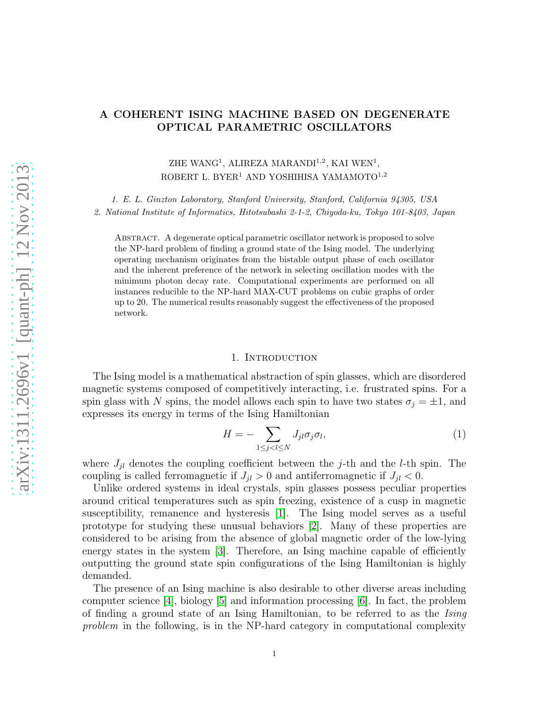# A COHERENT ISING MACHINE BASED ON DEGENERATE OPTICAL PARAMETRIC OSCILLATORS

ZHE WANG<sup>1</sup>, ALIREZA MARANDI<sup>1,2</sup>, KAI WEN<sup>1</sup>, ROBERT L. BYER<sup>1</sup> AND YOSHIHISA YAMAMOTO<sup>1,2</sup>

1. E. L. Ginzton Laboratory, Stanford University, Stanford, California 94305, USA 2. National Institute of Informatics, Hitotsubashi 2-1-2, Chiyoda-ku, Tokyo 101-8403, Japan

Abstract. A degenerate optical parametric oscillator network is proposed to solve the NP-hard problem of finding a ground state of the Ising model. The underlying operating mechanism originates from the bistable output phase of each oscillator and the inherent preference of the network in selecting oscillation modes with the minimum photon decay rate. Computational experiments are performed on all instances reducible to the NP-hard MAX-CUT problems on cubic graphs of order up to 20. The numerical results reasonably suggest the effectiveness of the proposed network.

## 1. INTRODUCTION

The Ising model is a mathematical abstraction of spin glasses, which are disordered magnetic systems composed of competitively interacting, i.e. frustrated spins. For a spin glass with N spins, the model allows each spin to have two states  $\sigma_j = \pm 1$ , and expresses its energy in terms of the Ising Hamiltonian

$$
H = -\sum_{1 \le j < l \le N} J_{jl} \sigma_j \sigma_l,\tag{1}
$$

where  $J_{jl}$  denotes the coupling coefficient between the j-th and the l-th spin. The coupling is called ferromagnetic if  $J_{jl} > 0$  and antiferromagnetic if  $J_{jl} < 0$ .

Unlike ordered systems in ideal crystals, spin glasses possess peculiar properties around critical temperatures such as spin freezing, existence of a cusp in magnetic susceptibility, remanence and hysteresis [\[1\]](#page-15-0). The Ising model serves as a useful prototype for studying these unusual behaviors [\[2\]](#page-15-1). Many of these properties are considered to be arising from the absence of global magnetic order of the low-lying energy states in the system [\[3\]](#page-15-2). Therefore, an Ising machine capable of efficiently outputting the ground state spin configurations of the Ising Hamiltonian is highly demanded.

The presence of an Ising machine is also desirable to other diverse areas including computer science  $[4]$ , biology  $[5]$  and information processing  $[6]$ . In fact, the problem of finding a ground state of an Ising Hamiltonian, to be referred to as the Ising problem in the following, is in the NP-hard category in computational complexity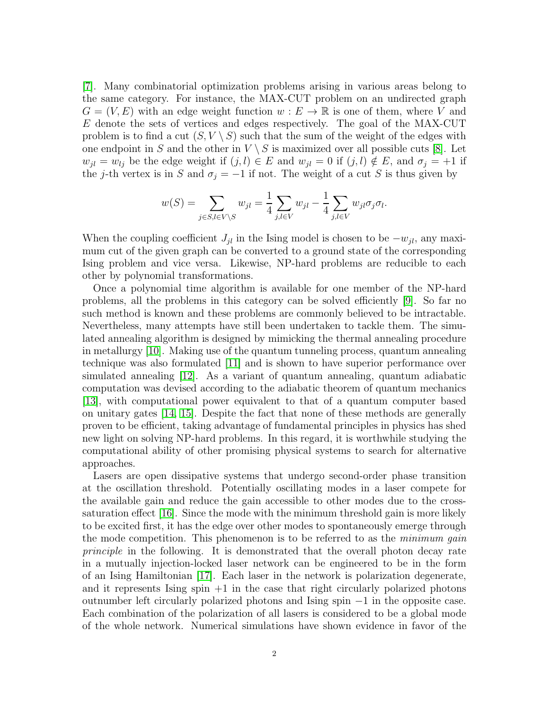[\[7\]](#page-15-6). Many combinatorial optimization problems arising in various areas belong to the same category. For instance, the MAX-CUT problem on an undirected graph  $G = (V, E)$  with an edge weight function  $w : E \to \mathbb{R}$  is one of them, where V and E denote the sets of vertices and edges respectively. The goal of the MAX-CUT problem is to find a cut  $(S, V \setminus S)$  such that the sum of the weight of the edges with one endpoint in S and the other in  $V \setminus S$  is maximized over all possible cuts [\[8\]](#page-15-7). Let  $w_{jl} = w_{lj}$  be the edge weight if  $(j, l) \in E$  and  $w_{jl} = 0$  if  $(j, l) \notin E$ , and  $\sigma_j = +1$  if the j-th vertex is in S and  $\sigma_j = -1$  if not. The weight of a cut S is thus given by

$$
w(S) = \sum_{j \in S, l \in V \setminus S} w_{jl} = \frac{1}{4} \sum_{j,l \in V} w_{jl} - \frac{1}{4} \sum_{j,l \in V} w_{jl} \sigma_j \sigma_l.
$$

When the coupling coefficient  $J_{jl}$  in the Ising model is chosen to be  $-w_{jl}$ , any maximum cut of the given graph can be converted to a ground state of the corresponding Ising problem and vice versa. Likewise, NP-hard problems are reducible to each other by polynomial transformations.

Once a polynomial time algorithm is available for one member of the NP-hard problems, all the problems in this category can be solved efficiently [\[9\]](#page-15-8). So far no such method is known and these problems are commonly believed to be intractable. Nevertheless, many attempts have still been undertaken to tackle them. The simulated annealing algorithm is designed by mimicking the thermal annealing procedure in metallurgy [\[10\]](#page-15-9). Making use of the quantum tunneling process, quantum annealing technique was also formulated [\[11\]](#page-16-0) and is shown to have superior performance over simulated annealing [\[12\]](#page-16-1). As a variant of quantum annealing, quantum adiabatic computation was devised according to the adiabatic theorem of quantum mechanics [\[13\]](#page-16-2), with computational power equivalent to that of a quantum computer based on unitary gates [\[14,](#page-16-3) [15\]](#page-16-4). Despite the fact that none of these methods are generally proven to be efficient, taking advantage of fundamental principles in physics has shed new light on solving NP-hard problems. In this regard, it is worthwhile studying the computational ability of other promising physical systems to search for alternative approaches.

Lasers are open dissipative systems that undergo second-order phase transition at the oscillation threshold. Potentially oscillating modes in a laser compete for the available gain and reduce the gain accessible to other modes due to the crosssaturation effect [\[16\]](#page-16-5). Since the mode with the minimum threshold gain is more likely to be excited first, it has the edge over other modes to spontaneously emerge through the mode competition. This phenomenon is to be referred to as the *minimum qain* principle in the following. It is demonstrated that the overall photon decay rate in a mutually injection-locked laser network can be engineered to be in the form of an Ising Hamiltonian [\[17\]](#page-16-6). Each laser in the network is polarization degenerate, and it represents Ising  $\sin$  +1 in the case that right circularly polarized photons outnumber left circularly polarized photons and Ising spin −1 in the opposite case. Each combination of the polarization of all lasers is considered to be a global mode of the whole network. Numerical simulations have shown evidence in favor of the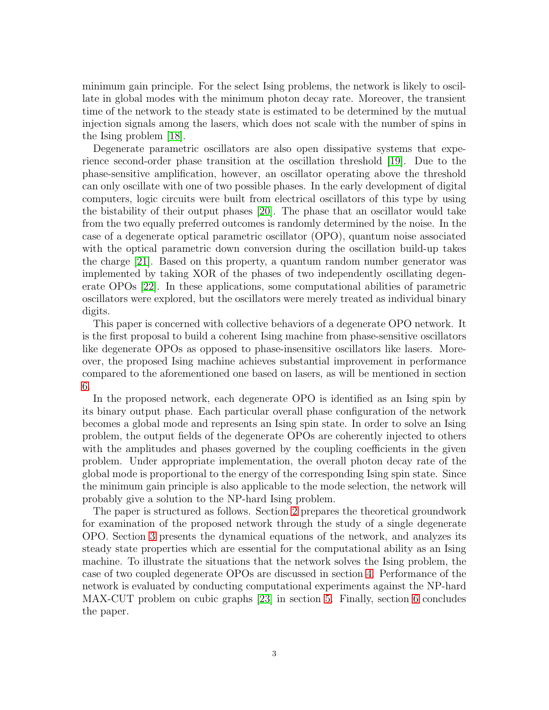minimum gain principle. For the select Ising problems, the network is likely to oscillate in global modes with the minimum photon decay rate. Moreover, the transient time of the network to the steady state is estimated to be determined by the mutual injection signals among the lasers, which does not scale with the number of spins in the Ising problem [\[18\]](#page-16-7).

Degenerate parametric oscillators are also open dissipative systems that experience second-order phase transition at the oscillation threshold [\[19\]](#page-16-8). Due to the phase-sensitive amplification, however, an oscillator operating above the threshold can only oscillate with one of two possible phases. In the early development of digital computers, logic circuits were built from electrical oscillators of this type by using the bistability of their output phases [\[20\]](#page-16-9). The phase that an oscillator would take from the two equally preferred outcomes is randomly determined by the noise. In the case of a degenerate optical parametric oscillator (OPO), quantum noise associated with the optical parametric down conversion during the oscillation build-up takes the charge [\[21\]](#page-16-10). Based on this property, a quantum random number generator was implemented by taking XOR of the phases of two independently oscillating degenerate OPOs [\[22\]](#page-16-11). In these applications, some computational abilities of parametric oscillators were explored, but the oscillators were merely treated as individual binary digits.

This paper is concerned with collective behaviors of a degenerate OPO network. It is the first proposal to build a coherent Ising machine from phase-sensitive oscillators like degenerate OPOs as opposed to phase-insensitive oscillators like lasers. Moreover, the proposed Ising machine achieves substantial improvement in performance compared to the aforementioned one based on lasers, as will be mentioned in section [6.](#page-14-0)

In the proposed network, each degenerate OPO is identified as an Ising spin by its binary output phase. Each particular overall phase configuration of the network becomes a global mode and represents an Ising spin state. In order to solve an Ising problem, the output fields of the degenerate OPOs are coherently injected to others with the amplitudes and phases governed by the coupling coefficients in the given problem. Under appropriate implementation, the overall photon decay rate of the global mode is proportional to the energy of the corresponding Ising spin state. Since the minimum gain principle is also applicable to the mode selection, the network will probably give a solution to the NP-hard Ising problem.

The paper is structured as follows. Section [2](#page-3-0) prepares the theoretical groundwork for examination of the proposed network through the study of a single degenerate OPO. Section [3](#page-4-0) presents the dynamical equations of the network, and analyzes its steady state properties which are essential for the computational ability as an Ising machine. To illustrate the situations that the network solves the Ising problem, the case of two coupled degenerate OPOs are discussed in section [4.](#page-8-0) Performance of the network is evaluated by conducting computational experiments against the NP-hard MAX-CUT problem on cubic graphs [\[23\]](#page-16-12) in section [5.](#page-10-0) Finally, section [6](#page-14-0) concludes the paper.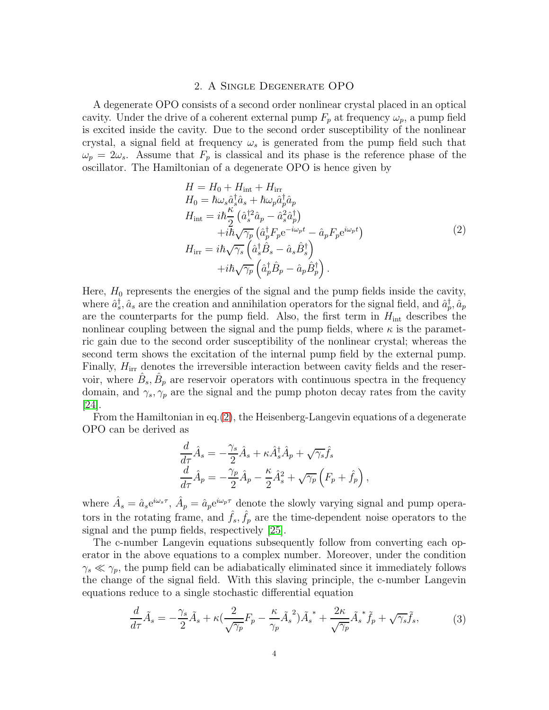# 2. A Single Degenerate OPO

<span id="page-3-0"></span>A degenerate OPO consists of a second order nonlinear crystal placed in an optical cavity. Under the drive of a coherent external pump  $F_p$  at frequency  $\omega_p$ , a pump field is excited inside the cavity. Due to the second order susceptibility of the nonlinear crystal, a signal field at frequency  $\omega_s$  is generated from the pump field such that  $\omega_p = 2\omega_s$ . Assume that  $F_p$  is classical and its phase is the reference phase of the oscillator. The Hamiltonian of a degenerate OPO is hence given by

<span id="page-3-1"></span>
$$
H = H_0 + H_{int} + H_{irr}
$$
  
\n
$$
H_0 = \hbar \omega_s \hat{a}_s^{\dagger} \hat{a}_s + \hbar \omega_p \hat{a}_p^{\dagger} \hat{a}_p
$$
  
\n
$$
H_{int} = i\hbar \frac{\kappa}{2} (\hat{a}_s^{\dagger 2} \hat{a}_p - \hat{a}_s^2 \hat{a}_p^{\dagger})
$$
  
\n
$$
+ i\hbar \sqrt{\gamma_p} (\hat{a}_p^{\dagger} F_p e^{-i\omega_p t} - \hat{a}_p F_p e^{i\omega_p t})
$$
  
\n
$$
H_{irr} = i\hbar \sqrt{\gamma_s} (\hat{a}_s^{\dagger} \hat{B}_s - \hat{a}_s \hat{B}_s^{\dagger})
$$
  
\n
$$
+ i\hbar \sqrt{\gamma_p} (\hat{a}_p^{\dagger} \hat{B}_p - \hat{a}_p \hat{B}_p^{\dagger}).
$$
\n(2)

Here,  $H_0$  represents the energies of the signal and the pump fields inside the cavity, where  $\hat{a}_s^{\dagger}$ ,  $\hat{a}_s$  are the creation and annihilation operators for the signal field, and  $\hat{a}_p^{\dagger}$ ,  $\hat{a}_p$ are the counterparts for the pump field. Also, the first term in  $H_{\text{int}}$  describes the nonlinear coupling between the signal and the pump fields, where  $\kappa$  is the parametric gain due to the second order susceptibility of the nonlinear crystal; whereas the second term shows the excitation of the internal pump field by the external pump. Finally,  $H_{irr}$  denotes the irreversible interaction between cavity fields and the reservoir, where  $\hat{B}_s, \hat{B}_p$  are reservoir operators with continuous spectra in the frequency domain, and  $\gamma_s$ ,  $\gamma_p$  are the signal and the pump photon decay rates from the cavity  $|24|$ .

From the Hamiltonian in eq.[\(2\)](#page-3-1), the Heisenberg-Langevin equations of a degenerate OPO can be derived as

$$
\frac{d}{d\tau}\hat{A}_s = -\frac{\gamma_s}{2}\hat{A}_s + \kappa \hat{A}_s^{\dagger}\hat{A}_p + \sqrt{\gamma_s}\hat{f}_s
$$

$$
\frac{d}{d\tau}\hat{A}_p = -\frac{\gamma_p}{2}\hat{A}_p - \frac{\kappa}{2}\hat{A}_s^2 + \sqrt{\gamma_p}\left(F_p + \hat{f}_p\right),
$$

where  $\hat{A}_s = \hat{a}_s e^{i\omega_s \tau}$ ,  $\hat{A}_p = \hat{a}_p e^{i\omega_p \tau}$  denote the slowly varying signal and pump operators in the rotating frame, and  $\hat{f}_s, \hat{f}_p$  are the time-dependent noise operators to the signal and the pump fields, respectively [\[25\]](#page-16-14).

The c-number Langevin equations subsequently follow from converting each operator in the above equations to a complex number. Moreover, under the condition  $\gamma_s \ll \gamma_p$ , the pump field can be adiabatically eliminated since it immediately follows the change of the signal field. With this slaving principle, the c-number Langevin equations reduce to a single stochastic differential equation

<span id="page-3-2"></span>
$$
\frac{d}{d\tau}\tilde{A}_s = -\frac{\gamma_s}{2}\tilde{A}_s + \kappa \left(\frac{2}{\sqrt{\gamma_p}}F_p - \frac{\kappa}{\gamma_p}\tilde{A}_s^2\right)\tilde{A}_s^* + \frac{2\kappa}{\sqrt{\gamma_p}}\tilde{A}_s^*\tilde{f}_p + \sqrt{\gamma_s}\tilde{f}_s,\tag{3}
$$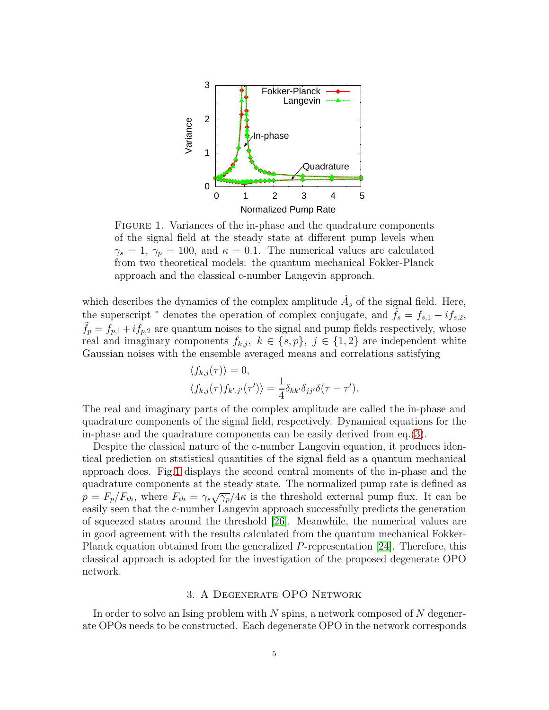

<span id="page-4-1"></span>FIGURE 1. Variances of the in-phase and the quadrature components of the signal field at the steady state at different pump levels when  $\gamma_s = 1, \gamma_p = 100$ , and  $\kappa = 0.1$ . The numerical values are calculated from two theoretical models: the quantum mechanical Fokker-Planck approach and the classical c-number Langevin approach.

which describes the dynamics of the complex amplitude  $\tilde{A}_s$  of the signal field. Here, the superscript  $*$  denotes the operation of complex conjugate, and  $f_s = f_{s,1} + i f_{s,2}$ ,  $f_p = f_{p,1} + if_{p,2}$  are quantum noises to the signal and pump fields respectively, whose real and imaginary components  $f_{k,j}, k \in \{s, p\}, j \in \{1, 2\}$  are independent white Gaussian noises with the ensemble averaged means and correlations satisfying

$$
\langle f_{k,j}(\tau) \rangle = 0,
$$
  

$$
\langle f_{k,j}(\tau) f_{k',j'}(\tau') \rangle = \frac{1}{4} \delta_{kk'} \delta_{jj'} \delta(\tau - \tau').
$$

The real and imaginary parts of the complex amplitude are called the in-phase and quadrature components of the signal field, respectively. Dynamical equations for the in-phase and the quadrature components can be easily derived from eq.[\(3\)](#page-3-2).

Despite the classical nature of the c-number Langevin equation, it produces identical prediction on statistical quantities of the signal field as a quantum mechanical approach does. Fig[.1](#page-4-1) displays the second central moments of the in-phase and the quadrature components at the steady state. The normalized pump rate is defined as  $p = F_p/F_{th}$ , where  $F_{th} = \gamma_s \sqrt{\gamma_p}/4\kappa$  is the threshold external pump flux. It can be easily seen that the c-number Langevin approach successfully predicts the generation of squeezed states around the threshold [\[26\]](#page-16-15). Meanwhile, the numerical values are in good agreement with the results calculated from the quantum mechanical Fokker-Planck equation obtained from the generalized P-representation [\[24\]](#page-16-13). Therefore, this classical approach is adopted for the investigation of the proposed degenerate OPO network.

# 3. A Degenerate OPO Network

<span id="page-4-0"></span>In order to solve an Ising problem with  $N$  spins, a network composed of  $N$  degenerate OPOs needs to be constructed. Each degenerate OPO in the network corresponds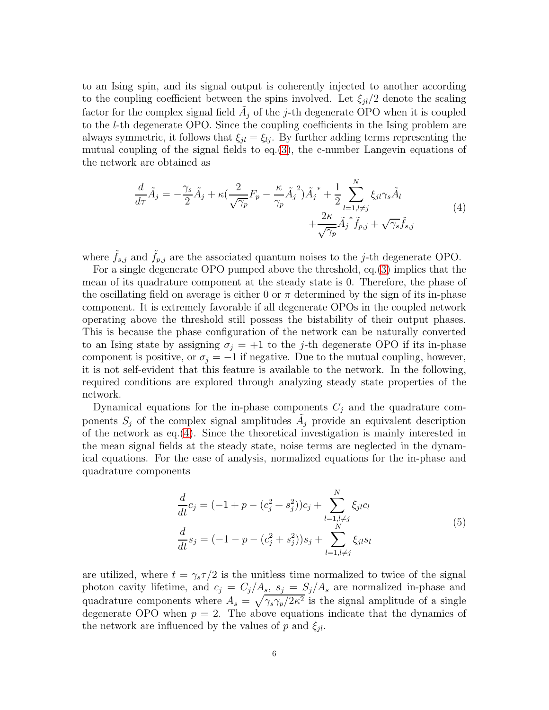to an Ising spin, and its signal output is coherently injected to another according to the coupling coefficient between the spins involved. Let  $\xi_{jl}/2$  denote the scaling factor for the complex signal field  $\tilde{A}_j$  of the j-th degenerate OPO when it is coupled to the l-th degenerate OPO. Since the coupling coefficients in the Ising problem are always symmetric, it follows that  $\xi_{il} = \xi_{li}$ . By further adding terms representing the mutual coupling of the signal fields to  $eq.(3)$  $eq.(3)$ , the c-number Langevin equations of the network are obtained as

<span id="page-5-0"></span>
$$
\frac{d}{d\tau}\tilde{A}_j = -\frac{\gamma_s}{2}\tilde{A}_j + \kappa(\frac{2}{\sqrt{\gamma_p}}F_p - \frac{\kappa}{\gamma_p}\tilde{A}_j{}^2)\tilde{A}_j{}^* + \frac{1}{2}\sum_{l=1, l \neq j}^N \xi_{jl}\gamma_s\tilde{A}_l + \frac{2\kappa}{\sqrt{\gamma_p}}\tilde{A}_j{}^*\tilde{f}_{p,j} + \sqrt{\gamma_s}\tilde{f}_{s,j}
$$
\n(4)

where  $\tilde{f}_{s,j}$  and  $\tilde{f}_{p,j}$  are the associated quantum noises to the j-th degenerate OPO.

For a single degenerate OPO pumped above the threshold, eq.[\(3\)](#page-3-2) implies that the mean of its quadrature component at the steady state is 0. Therefore, the phase of the oscillating field on average is either 0 or  $\pi$  determined by the sign of its in-phase component. It is extremely favorable if all degenerate OPOs in the coupled network operating above the threshold still possess the bistability of their output phases. This is because the phase configuration of the network can be naturally converted to an Ising state by assigning  $\sigma_j = +1$  to the j-th degenerate OPO if its in-phase component is positive, or  $\sigma_j = -1$  if negative. Due to the mutual coupling, however, it is not self-evident that this feature is available to the network. In the following, required conditions are explored through analyzing steady state properties of the network.

Dynamical equations for the in-phase components  $C_j$  and the quadrature components  $S_j$  of the complex signal amplitudes  $\tilde{A}_j$  provide an equivalent description of the network as eq.[\(4\)](#page-5-0). Since the theoretical investigation is mainly interested in the mean signal fields at the steady state, noise terms are neglected in the dynamical equations. For the ease of analysis, normalized equations for the in-phase and quadrature components

<span id="page-5-1"></span>
$$
\frac{d}{dt}c_j = (-1 + p - (c_j^2 + s_j^2))c_j + \sum_{l=1, l \neq j}^{N} \xi_{jl}c_l
$$
\n
$$
\frac{d}{dt}s_j = (-1 - p - (c_j^2 + s_j^2))s_j + \sum_{l=1, l \neq j}^{N} \xi_{jl}s_l
$$
\n(5)

are utilized, where  $t = \gamma_s \tau/2$  is the unitless time normalized to twice of the signal photon cavity lifetime, and  $c_j = C_j/A_s$ ,  $s_j = S_j/A_s$  are normalized in-phase and quadrature components where  $A_s = \sqrt{\gamma_s \gamma_p / 2\kappa^2}$  is the signal amplitude of a single degenerate OPO when  $p = 2$ . The above equations indicate that the dynamics of the network are influenced by the values of p and  $\xi_{il}$ .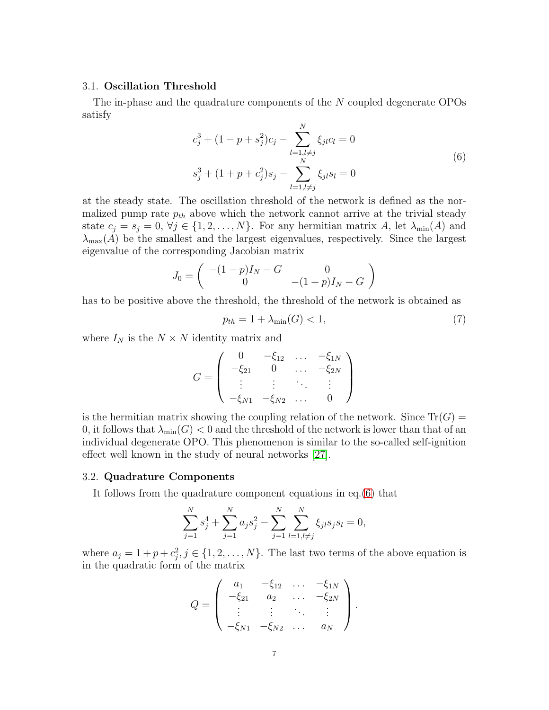# 3.1. Oscillation Threshold

The in-phase and the quadrature components of the N coupled degenerate OPOs satisfy

<span id="page-6-0"></span>
$$
c_j^3 + (1 - p + s_j^2)c_j - \sum_{l=1, l \neq j}^{N} \xi_{jl}c_l = 0
$$
  

$$
s_j^3 + (1 + p + c_j^2)s_j - \sum_{l=1, l \neq j}^{N} \xi_{jl}s_l = 0
$$
 (6)

at the steady state. The oscillation threshold of the network is defined as the normalized pump rate  $p_{th}$  above which the network cannot arrive at the trivial steady state  $c_j = s_j = 0, \forall j \in \{1, 2, ..., N\}$ . For any hermitian matrix A, let  $\lambda_{\min}(A)$  and  $\lambda_{\max}(A)$  be the smallest and the largest eigenvalues, respectively. Since the largest eigenvalue of the corresponding Jacobian matrix

$$
J_0 = \begin{pmatrix} -(1-p)I_N - G & 0 \\ 0 & -(1+p)I_N - G \end{pmatrix}
$$

has to be positive above the threshold, the threshold of the network is obtained as

<span id="page-6-1"></span>
$$
p_{th} = 1 + \lambda_{\min}(G) < 1,\tag{7}
$$

where  $I_N$  is the  $N \times N$  identity matrix and

$$
G = \left( \begin{array}{cccc} 0 & -\xi_{12} & \dots & -\xi_{1N} \\ -\xi_{21} & 0 & \dots & -\xi_{2N} \\ \vdots & \vdots & \ddots & \vdots \\ -\xi_{N1} & -\xi_{N2} & \dots & 0 \end{array} \right)
$$

is the hermitian matrix showing the coupling relation of the network. Since  $Tr(G)$  = 0, it follows that  $\lambda_{\min}(G) < 0$  and the threshold of the network is lower than that of an individual degenerate OPO. This phenomenon is similar to the so-called self-ignition effect well known in the study of neural networks [\[27\]](#page-16-16).

#### 3.2. Quadrature Components

It follows from the quadrature component equations in eq.[\(6\)](#page-6-0) that

$$
\sum_{j=1}^{N} s_j^4 + \sum_{j=1}^{N} a_j s_j^2 - \sum_{j=1}^{N} \sum_{l=1, l \neq j}^{N} \xi_{jl} s_j s_l = 0,
$$

where  $a_j = 1 + p + c_j^2$ ,  $j \in \{1, 2, ..., N\}$ . The last two terms of the above equation is in the quadratic form of the matrix

$$
Q = \left( \begin{array}{cccc} a_1 & -\xi_{12} & \dots & -\xi_{1N} \\ -\xi_{21} & a_2 & \dots & -\xi_{2N} \\ \vdots & \vdots & \ddots & \vdots \\ -\xi_{N1} & -\xi_{N2} & \dots & a_N \end{array} \right).
$$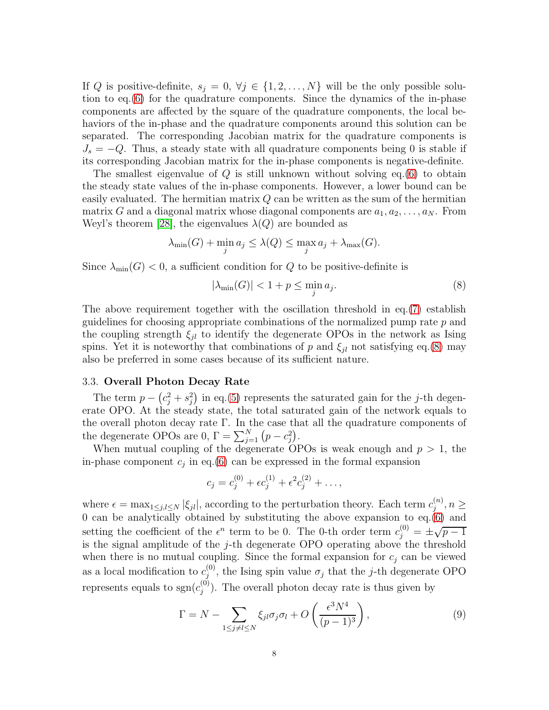If Q is positive-definite,  $s_j = 0, \forall j \in \{1, 2, ..., N\}$  will be the only possible solution to eq.[\(6\)](#page-6-0) for the quadrature components. Since the dynamics of the in-phase components are affected by the square of the quadrature components, the local behaviors of the in-phase and the quadrature components around this solution can be separated. The corresponding Jacobian matrix for the quadrature components is  $J_s = -Q$ . Thus, a steady state with all quadrature components being 0 is stable if its corresponding Jacobian matrix for the in-phase components is negative-definite.

The smallest eigenvalue of  $Q$  is still unknown without solving eq.[\(6\)](#page-6-0) to obtain the steady state values of the in-phase components. However, a lower bound can be easily evaluated. The hermitian matrix  $Q$  can be written as the sum of the hermitian matrix G and a diagonal matrix whose diagonal components are  $a_1, a_2, \ldots, a_N$ . From Weyl's theorem [\[28\]](#page-16-17), the eigenvalues  $\lambda(Q)$  are bounded as

$$
\lambda_{\min}(G) + \min_{j} a_j \le \lambda(Q) \le \max_{j} a_j + \lambda_{\max}(G).
$$

Since  $\lambda_{\min}(G) < 0$ , a sufficient condition for Q to be positive-definite is

<span id="page-7-0"></span>
$$
|\lambda_{\min}(G)| < 1 + p \le \min_j a_j. \tag{8}
$$

The above requirement together with the oscillation threshold in eq.[\(7\)](#page-6-1) establish guidelines for choosing appropriate combinations of the normalized pump rate  $p$  and the coupling strength  $\xi_{jl}$  to identify the degenerate OPOs in the network as Ising spins. Yet it is noteworthy that combinations of p and  $\xi_{il}$  not satisfying eq.[\(8\)](#page-7-0) may also be preferred in some cases because of its sufficient nature.

# 3.3. Overall Photon Decay Rate

The term  $p - (c_j^2 + s_j^2)$  in eq.[\(5\)](#page-5-1) represents the saturated gain for the j-th degenerate OPO. At the steady state, the total saturated gain of the network equals to the overall photon decay rate  $\Gamma$ . In the case that all the quadrature components of the degenerate OPOs are 0,  $\Gamma = \sum_{j=1}^{N} (p - c_j^2)$ .

When mutual coupling of the degenerate OPOs is weak enough and  $p > 1$ , the in-phase component  $c_j$  in eq.[\(6\)](#page-6-0) can be expressed in the formal expansion

$$
c_j = c_j^{(0)} + \epsilon c_j^{(1)} + \epsilon^2 c_j^{(2)} + \dots,
$$

where  $\epsilon = \max_{1 \leq j,l \leq N} |\xi_{jl}|$ , according to the perturbation theory. Each term  $c_j^{(n)}$  $\sum_{j=1}^{(n)}$ ,  $n \geq$ 0 can be analytically obtained by substituting the above expansion to  $eq.(6)$  $eq.(6)$  and setting the coefficient of the  $\epsilon^n$  term to be 0. The 0-th order term  $c_j^{(0)} = \pm \sqrt{p-1}$ is the signal amplitude of the j-th degenerate OPO operating above the threshold when there is no mutual coupling. Since the formal expansion for  $c_j$  can be viewed as a local modification to  $c_i^{(0)}$  $j^{(0)}$ , the Ising spin value  $\sigma_j$  that the j-th degenerate OPO represents equals to  $sgn(c_i^{(0)})$  $j^{(0)}$ ). The overall photon decay rate is thus given by

<span id="page-7-1"></span>
$$
\Gamma = N - \sum_{1 \le j \ne l \le N} \xi_{jl} \sigma_j \sigma_l + O\left(\frac{\epsilon^3 N^4}{(p-1)^3}\right),\tag{9}
$$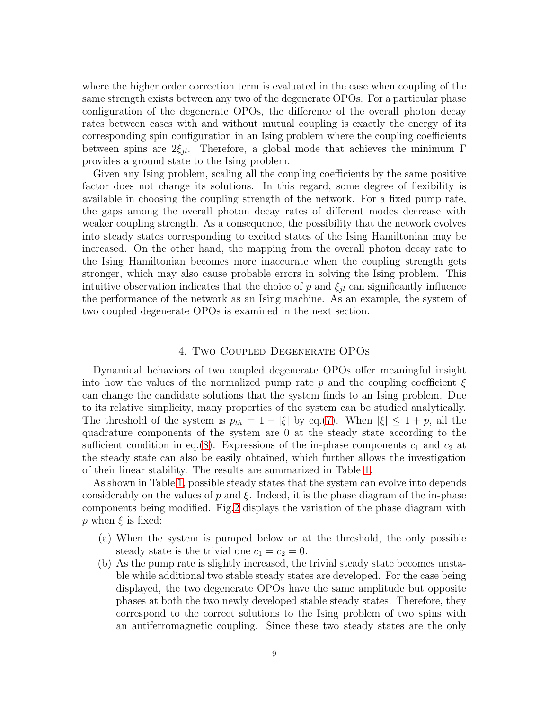where the higher order correction term is evaluated in the case when coupling of the same strength exists between any two of the degenerate OPOs. For a particular phase configuration of the degenerate OPOs, the difference of the overall photon decay rates between cases with and without mutual coupling is exactly the energy of its corresponding spin configuration in an Ising problem where the coupling coefficients between spins are  $2\xi_{jl}$ . Therefore, a global mode that achieves the minimum Γ provides a ground state to the Ising problem.

Given any Ising problem, scaling all the coupling coefficients by the same positive factor does not change its solutions. In this regard, some degree of flexibility is available in choosing the coupling strength of the network. For a fixed pump rate, the gaps among the overall photon decay rates of different modes decrease with weaker coupling strength. As a consequence, the possibility that the network evolves into steady states corresponding to excited states of the Ising Hamiltonian may be increased. On the other hand, the mapping from the overall photon decay rate to the Ising Hamiltonian becomes more inaccurate when the coupling strength gets stronger, which may also cause probable errors in solving the Ising problem. This intuitive observation indicates that the choice of p and  $\xi_{il}$  can significantly influence the performance of the network as an Ising machine. As an example, the system of two coupled degenerate OPOs is examined in the next section.

# 4. Two Coupled Degenerate OPOs

<span id="page-8-0"></span>Dynamical behaviors of two coupled degenerate OPOs offer meaningful insight into how the values of the normalized pump rate p and the coupling coefficient  $\xi$ can change the candidate solutions that the system finds to an Ising problem. Due to its relative simplicity, many properties of the system can be studied analytically. The threshold of the system is  $p_{th} = 1 - |\xi|$  by eq.[\(7\)](#page-6-1). When  $|\xi| \leq 1 + p$ , all the quadrature components of the system are 0 at the steady state according to the sufficient condition in eq.[\(8\)](#page-7-0). Expressions of the in-phase components  $c_1$  and  $c_2$  at the steady state can also be easily obtained, which further allows the investigation of their linear stability. The results are summarized in Table [1.](#page-9-0)

As shown in Table [1,](#page-9-0) possible steady states that the system can evolve into depends considerably on the values of p and  $\xi$ . Indeed, it is the phase diagram of the in-phase components being modified. Fig[.2](#page-10-1) displays the variation of the phase diagram with p when  $\xi$  is fixed:

- (a) When the system is pumped below or at the threshold, the only possible steady state is the trivial one  $c_1 = c_2 = 0$ .
- (b) As the pump rate is slightly increased, the trivial steady state becomes unstable while additional two stable steady states are developed. For the case being displayed, the two degenerate OPOs have the same amplitude but opposite phases at both the two newly developed stable steady states. Therefore, they correspond to the correct solutions to the Ising problem of two spins with an antiferromagnetic coupling. Since these two steady states are the only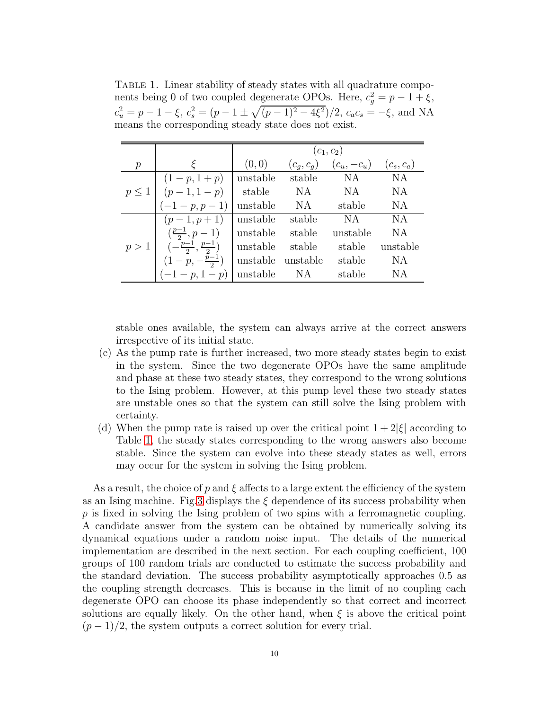<span id="page-9-0"></span>TABLE 1. Linear stability of steady states with all quadrature components being 0 of two coupled degenerate OPOs. Here,  $c_g^2 = p - 1 + \xi$ ,  $c_u^2 = p - 1 - \xi$ ,  $c_s^2 = (p - 1 \pm \sqrt{(p - 1)^2 - 4\xi^2})/2$ ,  $c_a c_s = -\xi$ , and NA means the corresponding steady state does not exist.

|               |                                             | $(c_1, c_2)$ |              |               |              |  |  |  |  |
|---------------|---------------------------------------------|--------------|--------------|---------------|--------------|--|--|--|--|
| $\mathcal{p}$ |                                             | (0, 0)       | $(c_g, c_g)$ | $(c_u, -c_u)$ | $(c_s, c_a)$ |  |  |  |  |
|               | $(1-p, 1+p)$                                | unstable     | stable       | NA            | <b>NA</b>    |  |  |  |  |
| p<1           | $(p-1, 1-p)$                                | stable       | NA.          | NA.           | <b>NA</b>    |  |  |  |  |
|               | $(-1-p, p-1)$                               | unstable     | NA           | stable        | <b>NA</b>    |  |  |  |  |
|               | $(p-1, p+1)$                                | unstable     | stable       | NA.           | NA           |  |  |  |  |
| p>1           | $(\frac{p-1}{2}, p-1)$                      | unstable     | stable       | unstable      | <b>NA</b>    |  |  |  |  |
|               | $\left(-\frac{p-1}{2},\frac{p-1}{2}\right)$ | unstable     | stable       | stable        | unstable     |  |  |  |  |
|               | $(1-p, -\frac{p-1}{2})$                     | unstable     | unstable     | stable        | NA           |  |  |  |  |
|               | $(-1 - p, 1 - p)$                           | unstable     | NA           | stable        | NA           |  |  |  |  |

stable ones available, the system can always arrive at the correct answers irrespective of its initial state.

- (c) As the pump rate is further increased, two more steady states begin to exist in the system. Since the two degenerate OPOs have the same amplitude and phase at these two steady states, they correspond to the wrong solutions to the Ising problem. However, at this pump level these two steady states are unstable ones so that the system can still solve the Ising problem with certainty.
- (d) When the pump rate is raised up over the critical point  $1+2|\xi|$  according to Table [1,](#page-9-0) the steady states corresponding to the wrong answers also become stable. Since the system can evolve into these steady states as well, errors may occur for the system in solving the Ising problem.

As a result, the choice of p and  $\xi$  affects to a large extent the efficiency of the system as an Ising machine. Fig[.3](#page-10-2) displays the  $\xi$  dependence of its success probability when  $p$  is fixed in solving the Ising problem of two spins with a ferromagnetic coupling. A candidate answer from the system can be obtained by numerically solving its dynamical equations under a random noise input. The details of the numerical implementation are described in the next section. For each coupling coefficient, 100 groups of 100 random trials are conducted to estimate the success probability and the standard deviation. The success probability asymptotically approaches 0.5 as the coupling strength decreases. This is because in the limit of no coupling each degenerate OPO can choose its phase independently so that correct and incorrect solutions are equally likely. On the other hand, when  $\xi$  is above the critical point  $(p-1)/2$ , the system outputs a correct solution for every trial.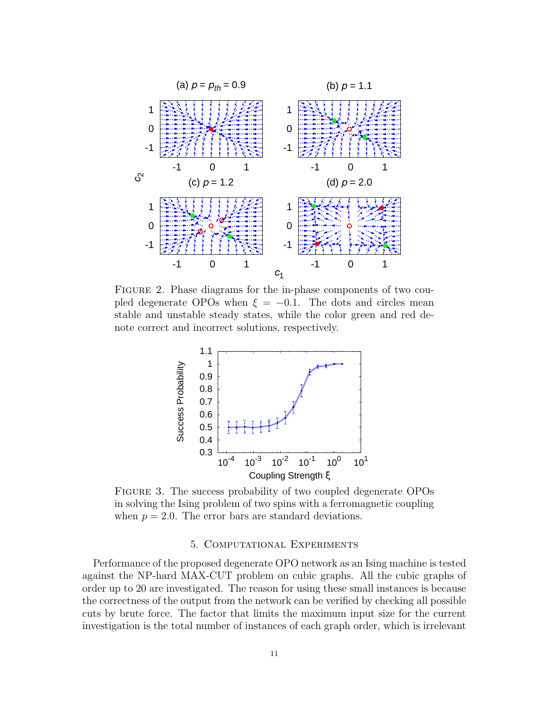

FIGURE 2. Phase diagrams for the in-phase components of two coupled degenerate OPOs when  $\xi = -0.1$ . The dots and circles mean stable and unstable steady states, while the color green and red denote correct and incorrect solutions, respectively.

<span id="page-10-1"></span>

FIGURE 3. The success probability of two coupled degenerate OPOs in solving the Ising problem of two spins with a ferromagnetic coupling when  $p = 2.0$ . The error bars are standard deviations.

## <span id="page-10-2"></span>5. Computational Experiments

<span id="page-10-0"></span>Performance of the proposed degenerate OPO network as an Ising machine is tested against the NP-hard MAX-CUT problem on cubic graphs. All the cubic graphs of order up to 20 are investigated. The reason for using these small instances is because the correctness of the output from the network can be verified by checking all possible cuts by brute force. The factor that limits the maximum input size for the current investigation is the total number of instances of each graph order, which is irrelevant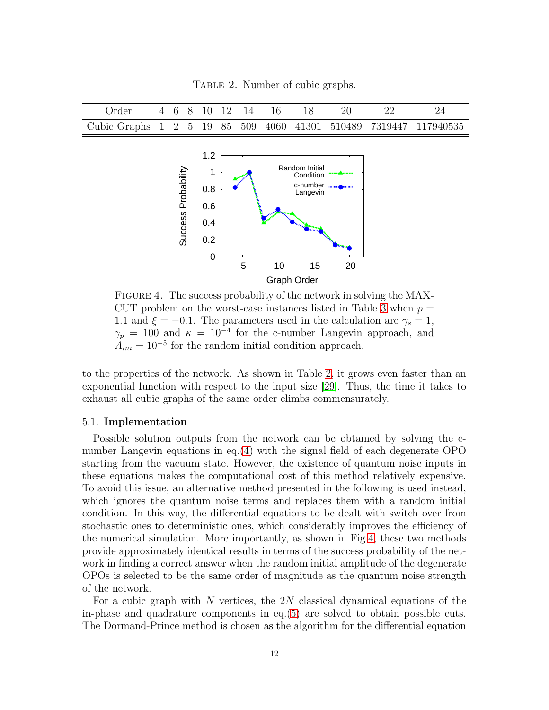<span id="page-11-0"></span>TABLE 2. Number of cubic graphs.

| Order 4 6 8 10 12 14 16 18 20 22 24                              |  |  |  |  |  |  |
|------------------------------------------------------------------|--|--|--|--|--|--|
| Cubic Graphs 1 2 5 19 85 509 4060 41301 510489 7319447 117940535 |  |  |  |  |  |  |



<span id="page-11-1"></span>FIGURE 4. The success probability of the network in solving the MAX-CUT problem on the worst-case instances listed in Table [3](#page-13-0) when  $p =$ 1.1 and  $\xi = -0.1$ . The parameters used in the calculation are  $\gamma_s = 1$ ,  $\gamma_p = 100$  and  $\kappa = 10^{-4}$  for the c-number Langevin approach, and  $A_{ini} = 10^{-5}$  for the random initial condition approach.

to the properties of the network. As shown in Table [2,](#page-11-0) it grows even faster than an exponential function with respect to the input size [\[29\]](#page-16-18). Thus, the time it takes to exhaust all cubic graphs of the same order climbs commensurately.

### 5.1. Implementation

Possible solution outputs from the network can be obtained by solving the cnumber Langevin equations in eq.[\(4\)](#page-5-0) with the signal field of each degenerate OPO starting from the vacuum state. However, the existence of quantum noise inputs in these equations makes the computational cost of this method relatively expensive. To avoid this issue, an alternative method presented in the following is used instead, which ignores the quantum noise terms and replaces them with a random initial condition. In this way, the differential equations to be dealt with switch over from stochastic ones to deterministic ones, which considerably improves the efficiency of the numerical simulation. More importantly, as shown in Fig[.4,](#page-11-1) these two methods provide approximately identical results in terms of the success probability of the network in finding a correct answer when the random initial amplitude of the degenerate OPOs is selected to be the same order of magnitude as the quantum noise strength of the network.

For a cubic graph with N vertices, the  $2N$  classical dynamical equations of the in-phase and quadrature components in eq.[\(5\)](#page-5-1) are solved to obtain possible cuts. The Dormand-Prince method is chosen as the algorithm for the differential equation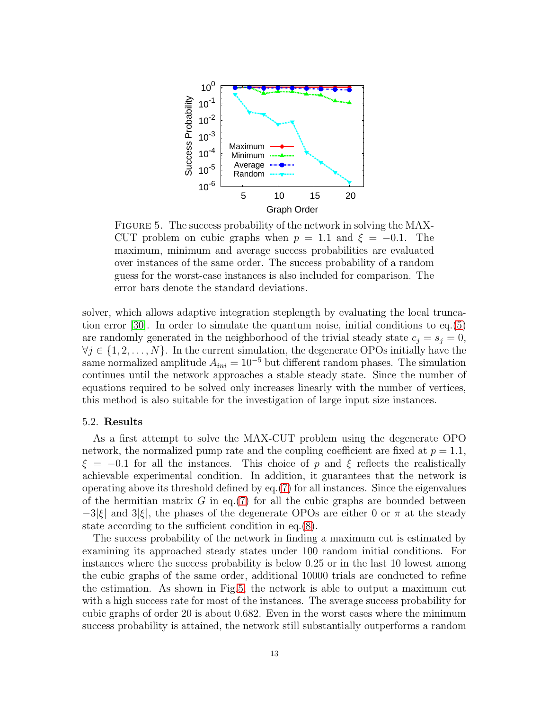

<span id="page-12-0"></span>FIGURE 5. The success probability of the network in solving the MAX-CUT problem on cubic graphs when  $p = 1.1$  and  $\xi = -0.1$ . The maximum, minimum and average success probabilities are evaluated over instances of the same order. The success probability of a random guess for the worst-case instances is also included for comparison. The error bars denote the standard deviations.

solver, which allows adaptive integration steplength by evaluating the local truncation error [\[30\]](#page-16-19). In order to simulate the quantum noise, initial conditions to eq.[\(5\)](#page-5-1) are randomly generated in the neighborhood of the trivial steady state  $c_j = s_j = 0$ ,  $\forall j \in \{1, 2, \ldots, N\}$ . In the current simulation, the degenerate OPOs initially have the same normalized amplitude  $A_{ini} = 10^{-5}$  but different random phases. The simulation continues until the network approaches a stable steady state. Since the number of equations required to be solved only increases linearly with the number of vertices, this method is also suitable for the investigation of large input size instances.

### 5.2. Results

As a first attempt to solve the MAX-CUT problem using the degenerate OPO network, the normalized pump rate and the coupling coefficient are fixed at  $p = 1.1$ ,  $\xi = -0.1$  for all the instances. This choice of p and  $\xi$  reflects the realistically achievable experimental condition. In addition, it guarantees that the network is operating above its threshold defined by eq.[\(7\)](#page-6-1) for all instances. Since the eigenvalues of the hermitian matrix  $G$  in eq.[\(7\)](#page-6-1) for all the cubic graphs are bounded between  $-3|\xi|$  and  $3|\xi|$ , the phases of the degenerate OPOs are either 0 or  $\pi$  at the steady state according to the sufficient condition in eq.[\(8\)](#page-7-0).

The success probability of the network in finding a maximum cut is estimated by examining its approached steady states under 100 random initial conditions. For instances where the success probability is below 0.25 or in the last 10 lowest among the cubic graphs of the same order, additional 10000 trials are conducted to refine the estimation. As shown in Fig[.5,](#page-12-0) the network is able to output a maximum cut with a high success rate for most of the instances. The average success probability for cubic graphs of order 20 is about 0.682. Even in the worst cases where the minimum success probability is attained, the network still substantially outperforms a random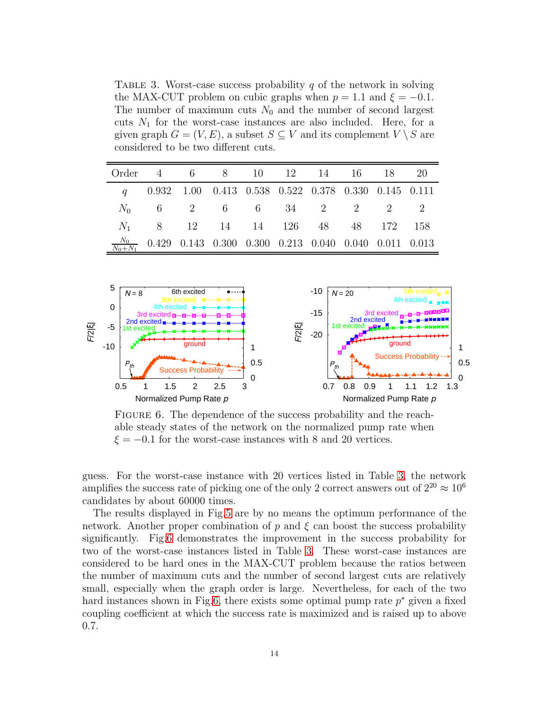<span id="page-13-0"></span>TABLE 3. Worst-case success probability  $q$  of the network in solving the MAX-CUT problem on cubic graphs when  $p = 1.1$  and  $\xi = -0.1$ . The number of maximum cuts  $N_0$  and the number of second largest cuts  $N_1$  for the worst-case instances are also included. Here, for a given graph  $G = (V, E)$ , a subset  $S \subseteq V$  and its complement  $V \setminus S$  are considered to be two different cuts.

| Order 4 6 8 10 12 14 16 18 20 |                                                                             |  |  |  |  |
|-------------------------------|-----------------------------------------------------------------------------|--|--|--|--|
|                               | $q$ 0.932 1.00 0.413 0.538 0.522 0.378 0.330 0.145 0.111                    |  |  |  |  |
|                               | $N_0$ 6 2 6 6 34 2 2 2 2                                                    |  |  |  |  |
|                               | $N_1$ 8 12 14 14 126 48 48 172 158                                          |  |  |  |  |
|                               | $\frac{N_0}{N_0+N_1}$ 0.429 0.143 0.300 0.300 0.213 0.040 0.040 0.011 0.013 |  |  |  |  |



<span id="page-13-1"></span>FIGURE 6. The dependence of the success probability and the reachable steady states of the network on the normalized pump rate when  $\xi = -0.1$  for the worst-case instances with 8 and 20 vertices.

guess. For the worst-case instance with 20 vertices listed in Table [3,](#page-13-0) the network amplifies the success rate of picking one of the only 2 correct answers out of  $2^{20} \approx 10^6$ candidates by about 60000 times.

The results displayed in Fig[.5](#page-12-0) are by no means the optimum performance of the network. Another proper combination of p and  $\xi$  can boost the success probability significantly. Fig[.6](#page-13-1) demonstrates the improvement in the success probability for two of the worst-case instances listed in Table [3.](#page-13-0) These worst-case instances are considered to be hard ones in the MAX-CUT problem because the ratios between the number of maximum cuts and the number of second largest cuts are relatively small, especially when the graph order is large. Nevertheless, for each of the two hard instances shown in Fig[.6,](#page-13-1) there exists some optimal pump rate  $p^*$  given a fixed coupling coefficient at which the success rate is maximized and is raised up to above 0.7.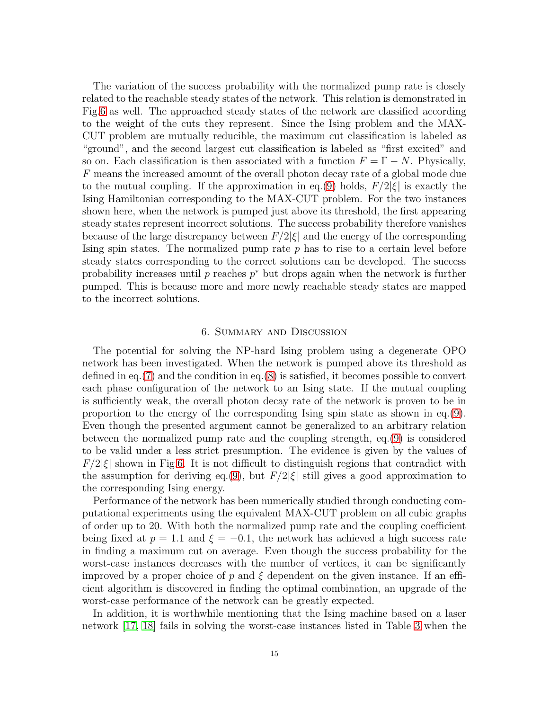The variation of the success probability with the normalized pump rate is closely related to the reachable steady states of the network. This relation is demonstrated in Fig[.6](#page-13-1) as well. The approached steady states of the network are classified according to the weight of the cuts they represent. Since the Ising problem and the MAX-CUT problem are mutually reducible, the maximum cut classification is labeled as "ground", and the second largest cut classification is labeled as "first excited" and so on. Each classification is then associated with a function  $F = \Gamma - N$ . Physically, F means the increased amount of the overall photon decay rate of a global mode due to the mutual coupling. If the approximation in eq.[\(9\)](#page-7-1) holds,  $F/2|\xi|$  is exactly the Ising Hamiltonian corresponding to the MAX-CUT problem. For the two instances shown here, when the network is pumped just above its threshold, the first appearing steady states represent incorrect solutions. The success probability therefore vanishes because of the large discrepancy between  $F/2|\xi|$  and the energy of the corresponding Ising spin states. The normalized pump rate  $p$  has to rise to a certain level before steady states corresponding to the correct solutions can be developed. The success probability increases until  $p$  reaches  $p^*$  but drops again when the network is further pumped. This is because more and more newly reachable steady states are mapped to the incorrect solutions.

### 6. Summary and Discussion

<span id="page-14-0"></span>The potential for solving the NP-hard Ising problem using a degenerate OPO network has been investigated. When the network is pumped above its threshold as defined in eq.[\(7\)](#page-6-1) and the condition in eq.[\(8\)](#page-7-0) is satisfied, it becomes possible to convert each phase configuration of the network to an Ising state. If the mutual coupling is sufficiently weak, the overall photon decay rate of the network is proven to be in proportion to the energy of the corresponding Ising spin state as shown in eq.[\(9\)](#page-7-1). Even though the presented argument cannot be generalized to an arbitrary relation between the normalized pump rate and the coupling strength, eq.[\(9\)](#page-7-1) is considered to be valid under a less strict presumption. The evidence is given by the values of  $F/2|\xi|$  shown in Fig[.6.](#page-13-1) It is not difficult to distinguish regions that contradict with the assumption for deriving eq.[\(9\)](#page-7-1), but  $F/2|\xi|$  still gives a good approximation to the corresponding Ising energy.

Performance of the network has been numerically studied through conducting computational experiments using the equivalent MAX-CUT problem on all cubic graphs of order up to 20. With both the normalized pump rate and the coupling coefficient being fixed at  $p = 1.1$  and  $\xi = -0.1$ , the network has achieved a high success rate in finding a maximum cut on average. Even though the success probability for the worst-case instances decreases with the number of vertices, it can be significantly improved by a proper choice of p and  $\xi$  dependent on the given instance. If an efficient algorithm is discovered in finding the optimal combination, an upgrade of the worst-case performance of the network can be greatly expected.

In addition, it is worthwhile mentioning that the Ising machine based on a laser network [\[17,](#page-16-6) [18\]](#page-16-7) fails in solving the worst-case instances listed in Table [3](#page-13-0) when the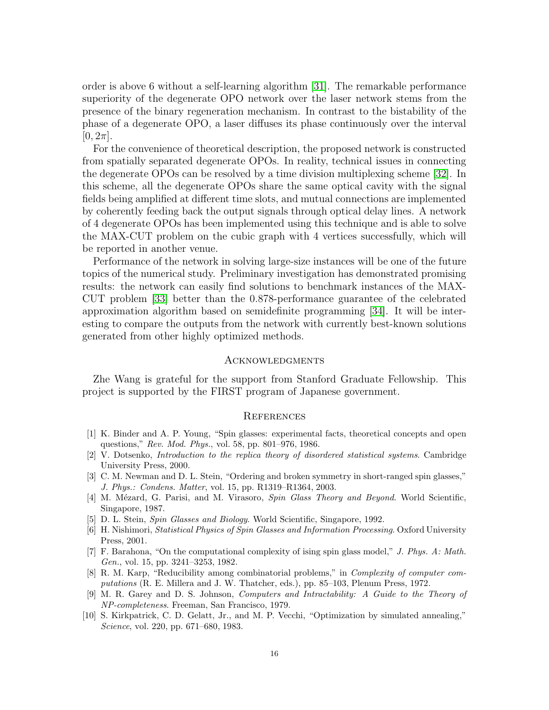order is above 6 without a self-learning algorithm [\[31\]](#page-16-20). The remarkable performance superiority of the degenerate OPO network over the laser network stems from the presence of the binary regeneration mechanism. In contrast to the bistability of the phase of a degenerate OPO, a laser diffuses its phase continuously over the interval  $[0, 2\pi]$ .

For the convenience of theoretical description, the proposed network is constructed from spatially separated degenerate OPOs. In reality, technical issues in connecting the degenerate OPOs can be resolved by a time division multiplexing scheme [\[32\]](#page-16-21). In this scheme, all the degenerate OPOs share the same optical cavity with the signal fields being amplified at different time slots, and mutual connections are implemented by coherently feeding back the output signals through optical delay lines. A network of 4 degenerate OPOs has been implemented using this technique and is able to solve the MAX-CUT problem on the cubic graph with 4 vertices successfully, which will be reported in another venue.

Performance of the network in solving large-size instances will be one of the future topics of the numerical study. Preliminary investigation has demonstrated promising results: the network can easily find solutions to benchmark instances of the MAX-CUT problem [\[33\]](#page-16-22) better than the 0.878-performance guarantee of the celebrated approximation algorithm based on semidefinite programming [\[34\]](#page-17-0). It will be interesting to compare the outputs from the network with currently best-known solutions generated from other highly optimized methods.

#### **ACKNOWLEDGMENTS**

Zhe Wang is grateful for the support from Stanford Graduate Fellowship. This project is supported by the FIRST program of Japanese government.

#### References

- <span id="page-15-0"></span>[1] K. Binder and A. P. Young, "Spin glasses: experimental facts, theoretical concepts and open questions," Rev. Mod. Phys., vol. 58, pp. 801–976, 1986.
- <span id="page-15-1"></span>[2] V. Dotsenko, Introduction to the replica theory of disordered statistical systems. Cambridge University Press, 2000.
- <span id="page-15-2"></span>[3] C. M. Newman and D. L. Stein, "Ordering and broken symmetry in short-ranged spin glasses," J. Phys.: Condens. Matter, vol. 15, pp. R1319–R1364, 2003.
- <span id="page-15-3"></span>[4] M. Mézard, G. Parisi, and M. Virasoro, Spin Glass Theory and Beyond. World Scientific, Singapore, 1987.
- <span id="page-15-5"></span><span id="page-15-4"></span>[5] D. L. Stein, Spin Glasses and Biology. World Scientific, Singapore, 1992.
- [6] H. Nishimori, Statistical Physics of Spin Glasses and Information Processing. Oxford University Press, 2001.
- <span id="page-15-6"></span>[7] F. Barahona, "On the computational complexity of ising spin glass model," J. Phys. A: Math. Gen., vol. 15, pp. 3241–3253, 1982.
- <span id="page-15-7"></span>[8] R. M. Karp, "Reducibility among combinatorial problems," in Complexity of computer computations (R. E. Millera and J. W. Thatcher, eds.), pp. 85–103, Plenum Press, 1972.
- <span id="page-15-8"></span>[9] M. R. Garey and D. S. Johnson, Computers and Intractability: A Guide to the Theory of NP-completeness. Freeman, San Francisco, 1979.
- <span id="page-15-9"></span>[10] S. Kirkpatrick, C. D. Gelatt, Jr., and M. P. Vecchi, "Optimization by simulated annealing," Science, vol. 220, pp. 671–680, 1983.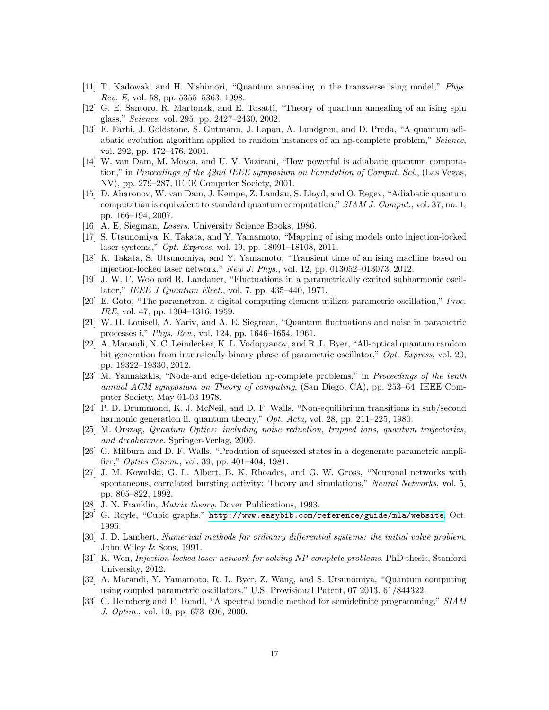- <span id="page-16-1"></span><span id="page-16-0"></span>[11] T. Kadowaki and H. Nishimori, "Quantum annealing in the transverse ising model," Phys. Rev. E, vol. 58, pp. 5355–5363, 1998.
- <span id="page-16-2"></span>[12] G. E. Santoro, R. Martonak, and E. Tosatti, "Theory of quantum annealing of an ising spin glass," Science, vol. 295, pp. 2427–2430, 2002.
- [13] E. Farhi, J. Goldstone, S. Gutmann, J. Lapan, A. Lundgren, and D. Preda, "A quantum adiabatic evolution algorithm applied to random instances of an np-complete problem," Science, vol. 292, pp. 472–476, 2001.
- <span id="page-16-3"></span>[14] W. van Dam, M. Mosca, and U. V. Vazirani, "How powerful is adiabatic quantum computation," in Proceedings of the 42nd IEEE symposium on Foundation of Comput. Sci., (Las Vegas, NV), pp. 279–287, IEEE Computer Society, 2001.
- <span id="page-16-4"></span>[15] D. Aharonov, W. van Dam, J. Kempe, Z. Landau, S. Lloyd, and O. Regev, "Adiabatic quantum computation is equivalent to standard quantum computation," SIAM J. Comput., vol. 37, no. 1, pp. 166–194, 2007.
- <span id="page-16-6"></span><span id="page-16-5"></span>[16] A. E. Siegman, Lasers. University Science Books, 1986.
- [17] S. Utsunomiya, K. Takata, and Y. Yamamoto, "Mapping of ising models onto injection-locked laser systems," Opt. Express, vol. 19, pp. 18091–18108, 2011.
- <span id="page-16-7"></span>[18] K. Takata, S. Utsunomiya, and Y. Yamamoto, "Transient time of an ising machine based on injection-locked laser network," New J. Phys., vol. 12, pp. 013052–013073, 2012.
- <span id="page-16-8"></span>[19] J. W. F. Woo and R. Landauer, "Fluctuations in a parametrically excited subharmonic oscillator," IEEE J Quantum Elect., vol. 7, pp. 435–440, 1971.
- <span id="page-16-9"></span>[20] E. Goto, "The parametron, a digital computing element utilizes parametric oscillation," Proc. IRE, vol. 47, pp. 1304–1316, 1959.
- <span id="page-16-10"></span>[21] W. H. Louisell, A. Yariv, and A. E. Siegman, "Quantum fluctuations and noise in parametric processes i," Phys. Rev., vol. 124, pp. 1646–1654, 1961.
- <span id="page-16-11"></span>[22] A. Marandi, N. C. Leindecker, K. L. Vodopyanov, and R. L. Byer, "All-optical quantum random bit generation from intrinsically binary phase of parametric oscillator," Opt. Express, vol. 20, pp. 19322–19330, 2012.
- <span id="page-16-12"></span>[23] M. Yannakakis, "Node-and edge-deletion np-complete problems," in Proceedings of the tenth annual ACM symposium on Theory of computing, (San Diego, CA), pp. 253–64, IEEE Computer Society, May 01-03 1978.
- <span id="page-16-13"></span>[24] P. D. Drummond, K. J. McNeil, and D. F. Walls, "Non-equilibrium transitions in sub/second harmonic generation ii. quantum theory," *Opt. Acta*, vol. 28, pp. 211–225, 1980.
- <span id="page-16-14"></span>[25] M. Orszag, Quantum Optics: including noise reduction, trapped ions, quantum trajectories, and decoherence. Springer-Verlag, 2000.
- <span id="page-16-15"></span>[26] G. Milburn and D. F. Walls, "Prodution of squeezed states in a degenerate parametric amplifier," Optics Comm., vol. 39, pp. 401–404, 1981.
- <span id="page-16-16"></span>[27] J. M. Kowalski, G. L. Albert, B. K. Rhoades, and G. W. Gross, "Neuronal networks with spontaneous, correlated bursting activity: Theory and simulations," Neural Networks, vol. 5, pp. 805–822, 1992.
- <span id="page-16-18"></span><span id="page-16-17"></span>[28] J. N. Franklin, *Matrix theory*. Dover Publications, 1993.
- <span id="page-16-19"></span>[29] G. Royle, "Cubic graphs." <http://www.easybib.com/reference/guide/mla/website>, Oct. 1996.
- [30] J. D. Lambert, Numerical methods for ordinary differential systems: the initial value problem. John Wiley & Sons, 1991.
- <span id="page-16-20"></span>[31] K. Wen, Injection-locked laser network for solving NP-complete problems. PhD thesis, Stanford University, 2012.
- <span id="page-16-21"></span>[32] A. Marandi, Y. Yamamoto, R. L. Byer, Z. Wang, and S. Utsunomiya, "Quantum computing using coupled parametric oscillators." U.S. Provisional Patent, 07 2013. 61/844322.
- <span id="page-16-22"></span>[33] C. Helmberg and F. Rendl, "A spectral bundle method for semidefinite programming," SIAM J. Optim., vol. 10, pp. 673–696, 2000.